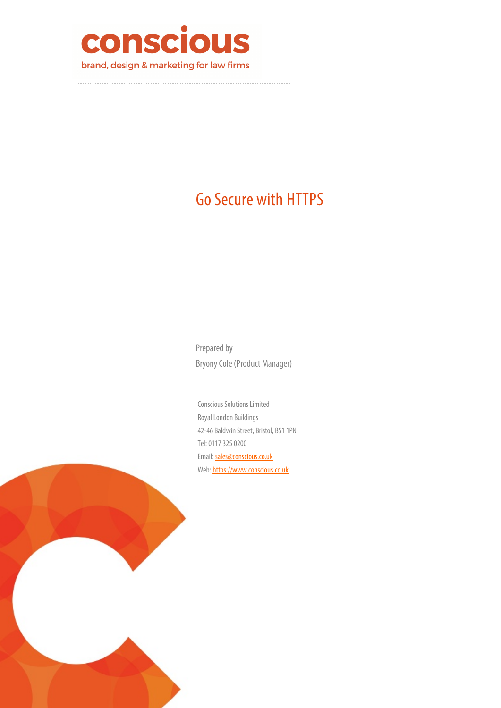

# Go Secure with HTTPS

Prepared by Bryony Cole (Product Manager)

Conscious Solutions Limited Royal London Buildings 42-46 Baldwin Street, Bristol, BS1 1PN Tel: 0117 325 0200 Email: sales@conscious.co.uk Web: https://www.conscious.co.uk

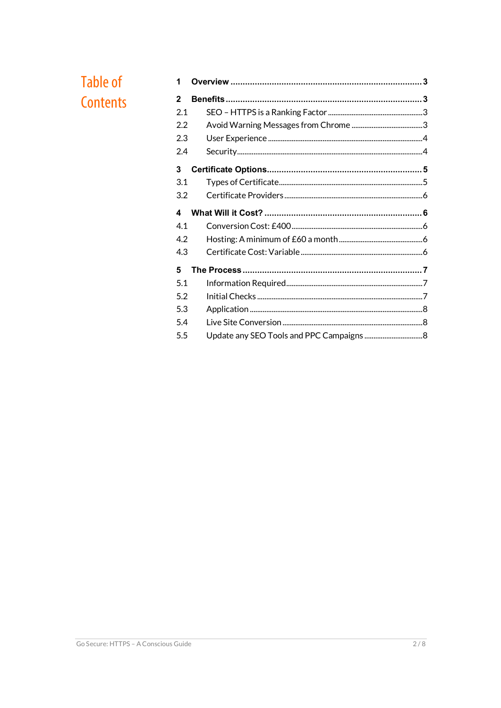# **Table of** Contents

| 1   |                                          |  |
|-----|------------------------------------------|--|
| 2   |                                          |  |
| 2.1 |                                          |  |
| 2.2 |                                          |  |
| 2.3 |                                          |  |
| 2.4 |                                          |  |
| 3   |                                          |  |
| 3.1 |                                          |  |
| 3.2 |                                          |  |
| 4   |                                          |  |
| 4.1 |                                          |  |
| 4.2 |                                          |  |
| 4.3 |                                          |  |
| 5   |                                          |  |
| 5.1 |                                          |  |
| 5.2 |                                          |  |
| 5.3 |                                          |  |
| 5.4 |                                          |  |
| 5.5 | Update any SEO Tools and PPC Campaigns 8 |  |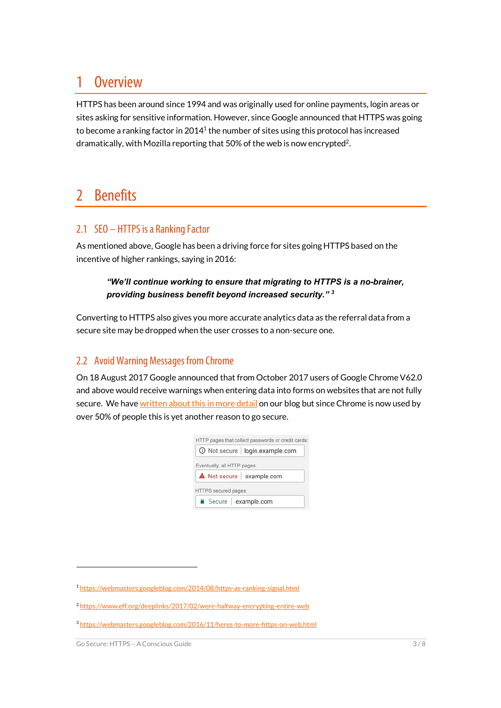## 1 Overview

HTTPS has been around since 1994 and was originally used for online payments, login areas or sites asking for sensitive information. However, since Google announced that HTTPS was going to become a ranking factor in 2014<sup>1</sup> the number of sites using this protocol has increased dramatically, with Mozilla reporting that 50% of the web is now encrypted2.

## 2 Benefits

## 2.1 SEO – HTTPS is a Ranking Factor

As mentioned above, Google has been a driving force for sites going HTTPS based on the incentive of higher rankings, saying in 2016:

#### *"We'll continue working to ensure that migrating to HTTPS is a no-brainer, providing business benefit beyond increased security." <sup>3</sup>*

Converting to HTTPS also gives you more accurate analytics data as the referral data from a secure site may be dropped when the user crosses to a non-secure one.

## 2.2 Avoid Warning Messages from Chrome

On 18 August 2017 Google announced that from October 2017 users of Google Chrome V62.0 and above would receive warnings when entering data into forms on websites that are not fully secure. We have written about this in more detail on our blog but since Chrome is now used by over 50% of people this is yet another reason to go secure.



.

<sup>1</sup> https://webmasters.googleblog.com/2014/08/https-as-ranking-signal.html

<sup>2</sup> https://www.eff.org/deeplinks/2017/02/were-halfway-encrypting-entire-web

<sup>3</sup> https://webmasters.googleblog.com/2016/11/heres-to-more-https-on-web.html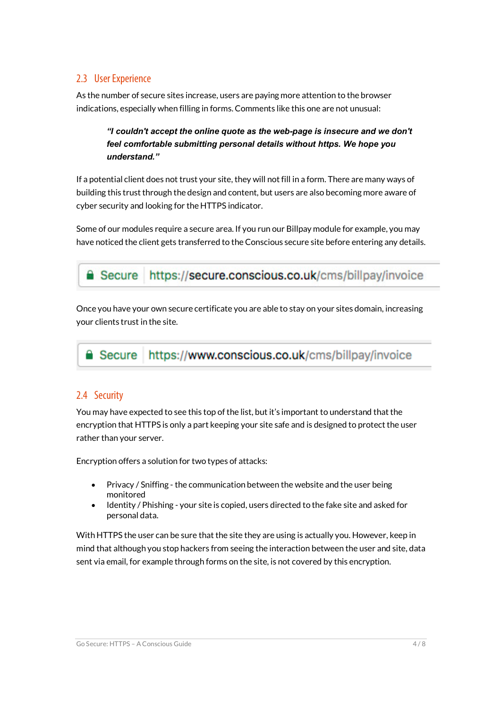## 2.3 User Experience

As the number of secure sites increase, users are paying more attention to the browser indications, especially when filling in forms. Comments like this one are not unusual:

*"I couldn't accept the online quote as the web-page is insecure and we don't feel comfortable submitting personal details without https. We hope you understand."*

If a potential client does not trust your site, they will not fill in a form. There are many ways of building this trust through the design and content, but users are also becoming more aware of cyber security and looking for the HTTPS indicator.

Some of our modules require a secure area. If you run our Billpay module for example, you may have noticed the client gets transferred to the Conscious secure site before entering any details.



https://secure.conscious.co.uk/cms/billpay/invoice

Once you have your own secure certificate you are able to stay on your sites domain, increasing your clients trust in the site.

**■ Secure | https://www.conscious.co.uk/cms/billpay/invoice** 

## 2.4 Security

You may have expected to see this top of the list, but it's important to understand that the encryption that HTTPS is only a part keeping your site safe and is designed to protect the user rather than your server.

Encryption offers a solution for two types of attacks:

- Privacy / Sniffing the communication between the website and the user being monitored
- Identity / Phishing your site is copied, users directed to the fake site and asked for personal data.

With HTTPS the user can be sure that the site they are using is actually you. However, keep in mind that although you stop hackers from seeing the interaction between the user and site, data sent via email, for example through forms on the site, is not covered by this encryption.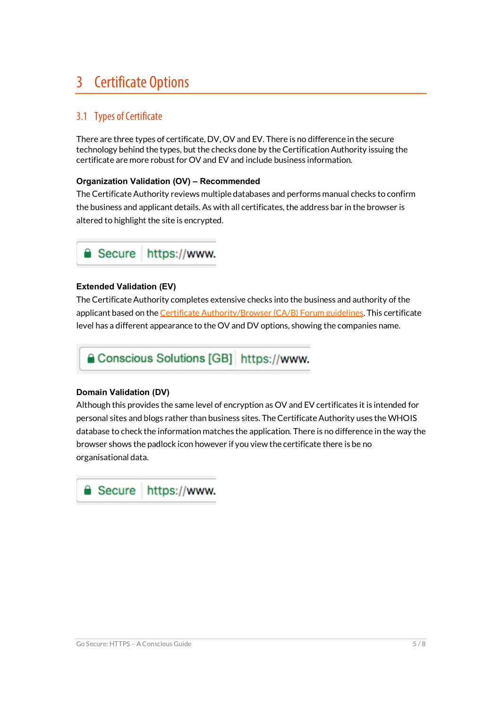## 3 Certificate Options

## 3.1 Types of Certificate

There are three types of certificate, DV, OV and EV. There is no difference in the secure technology behind the types, but the checks done by the Certification Authority issuing the certificate are more robust for OV and EV and include business information.

#### **Organization Validation (OV) – Recommended**

The Certificate Authority reviews multiple databases and performs manual checks to confirm the business and applicant details. As with all certificates, the address bar in the browser is altered to highlight the site is encrypted.



#### **Extended Validation (EV)**

The Certificate Authority completes extensive checks into the business and authority of the applicant based on the Certificate Authority/Browser (CA/B) Forum guidelines. This certificate level has a different appearance to the OV and DV options, showing the companies name.

Conscious Solutions [GB] https://www.

#### **Domain Validation (DV)**

Although this provides the same level of encryption as OV and EV certificates it is intended for personal sites and blogs rather than business sites. The Certificate Authority uses the WHOIS database to check the information matches the application. There is no difference in the way the browser shows the padlock icon however if you view the certificate there is be no organisational data.

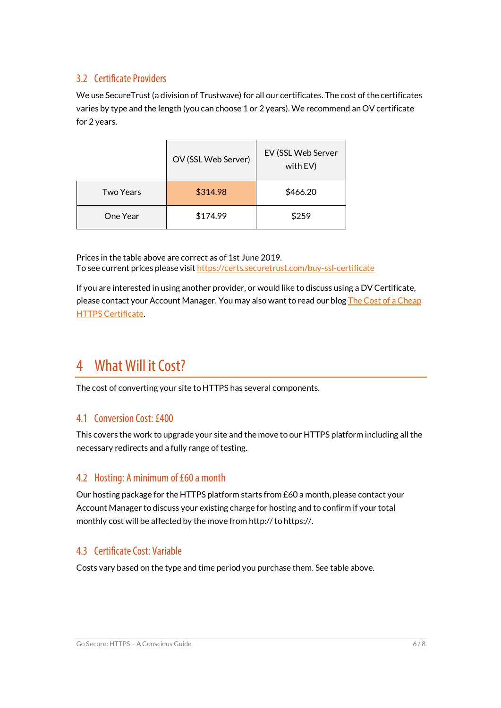## 3.2 Certificate Providers

We use SecureTrust (a division of Trustwave) for all our certificates. The cost of the certificates varies by type and the length (you can choose 1 or 2 years). We recommend an OV certificate for 2 years.

|                  | OV (SSL Web Server) | EV (SSL Web Server<br>with EV) |
|------------------|---------------------|--------------------------------|
| <b>Two Years</b> | \$314.98            | \$466.20                       |
| One Year         | \$174.99            | \$259                          |

Prices in the table above are correct as of 1st June 2019. To see current prices please visit https://certs.securetrust.com/buy-ssl-certificate

If you are interested in using another provider, or would like to discuss using a DV Certificate, please contact your Account Manager. You may also want to read our blog The Cost of a Cheap HTTPS Certificate.

## 4 What Will it Cost?

The cost of converting your site to HTTPS has several components.

## 4.1 Conversion Cost: £400

This covers the work to upgrade your site and the move to our HTTPS platform including all the necessary redirects and a fully range of testing.

## 4.2 Hosting: A minimum of £60 a month

Our hosting package for the HTTPS platform starts from £60 a month, please contact your Account Manager to discuss your existing charge for hosting and to confirm if your total monthly cost will be affected by the move from http:// to https://.

## 4.3 Certificate Cost: Variable

Costs vary based on the type and time period you purchase them. See table above.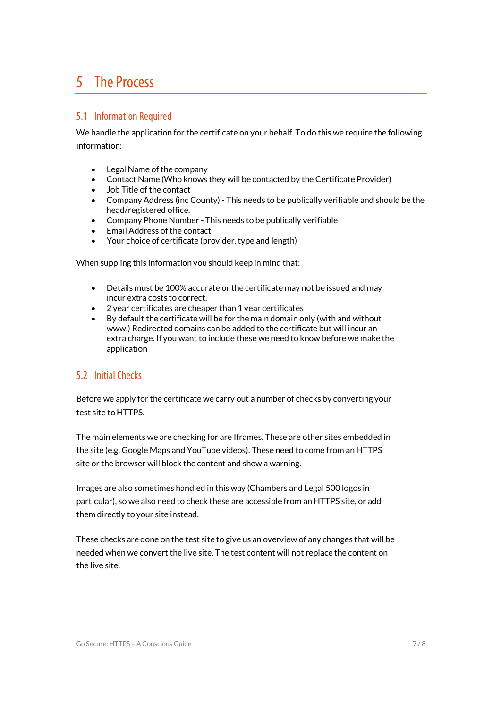## 5 The Process

### 5.1 Information Required

We handle the application for the certificate on your behalf. To do this we require the following information:

- Legal Name of the company
- Contact Name (Who knows they will be contacted by the Certificate Provider)
- Job Title of the contact
- Company Address (inc County) This needs to be publically verifiable and should be the head/registered office.
- Company Phone Number This needs to be publically verifiable
- Email Address of the contact
- Your choice of certificate (provider, type and length)

When suppling this information you should keep in mind that:

- Details must be 100% accurate or the certificate may not be issued and may incur extra costs to correct.
- 2 year certificates are cheaper than 1 year certificates
- By default the certificate will be for the main domain only (with and without www.) Redirected domains can be added to the certificate but will incur an extra charge. If you want to include these we need to know before we make the application

## 5.2 Initial Checks

Before we apply for the certificate we carry out a number of checks by converting your test site to HTTPS.

The main elements we are checking for are Iframes. These are other sites embedded in the site (e.g. Google Maps and YouTube videos). These need to come from an HTTPS site or the browser will block the content and show a warning.

Images are also sometimes handled in this way (Chambers and Legal 500 logos in particular), so we also need to check these are accessible from an HTTPS site, or add them directly to your site instead.

These checks are done on the test site to give us an overview of any changes that will be needed when we convert the live site. The test content will not replace the content on the live site.